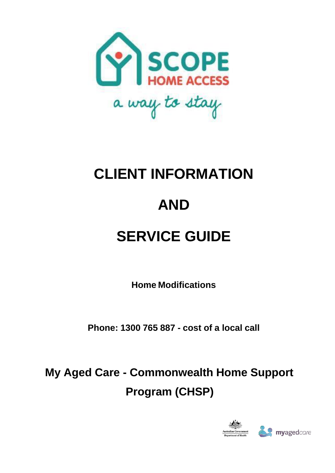

# **CLIENT INFORMATION AND SERVICE GUIDE**

**Home Modifications**

**Phone: 1300 765 887 - cost of a local call**

**My Aged Care - Commonwealth Home Support Program (CHSP)**

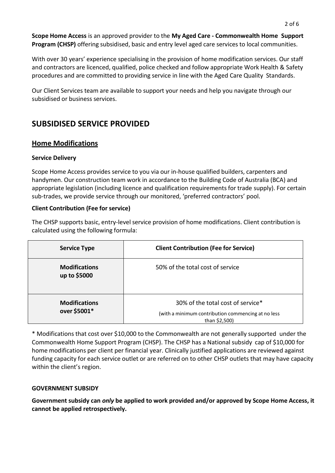**Scope Home Access** is an approved provider to the **My Aged Care - Commonwealth Home Support Program (CHSP)** offering subsidised, basic and entry level aged care services to local communities.

With over 30 years' experience specialising in the provision of home modification services. Our staff and contractors are licenced, qualified, police checked and follow appropriate Work Health & Safety procedures and are committed to providing service in line with the Aged Care Quality Standards.

Our Client Services team are available to support your needs and help you navigate through our subsidised or business services.

# **SUBSIDISED SERVICE PROVIDED**

## **Home Modifications**

#### **Service Delivery**

Scope Home Access provides service to you via our in-house qualified builders, carpenters and handymen. Our construction team work in accordance to the Building Code of Australia (BCA) and appropriate legislation (including licence and qualification requirements for trade supply). For certain sub-trades, we provide service through our monitored, 'preferred contractors' pool.

### **Client Contribution (Fee for service)**

The CHSP supports basic, entry-level service provision of home modifications. Client contribution is calculated using the following formula:

| <b>Service Type</b>                  | <b>Client Contribution (Fee for Service)</b>                                                             |
|--------------------------------------|----------------------------------------------------------------------------------------------------------|
| <b>Modifications</b><br>up to \$5000 | 50% of the total cost of service                                                                         |
| <b>Modifications</b><br>over \$5001* | 30% of the total cost of service*<br>(with a minimum contribution commencing at no less<br>than \$2,500) |

\* Modifications that cost over \$10,000 to the Commonwealth are not generally supported under the Commonwealth Home Support Program (CHSP). The CHSP has a National subsidy cap of \$10,000 for home modifications per client per financial year. Clinically justified applications are reviewed against funding capacity for each service outlet or are referred on to other CHSP outlets that may have capacity within the client's region.

#### **GOVERNMENT SUBSIDY**

**Government subsidy can** *only* **be applied to work provided and/or approved by Scope Home Access, it cannot be applied retrospectively.**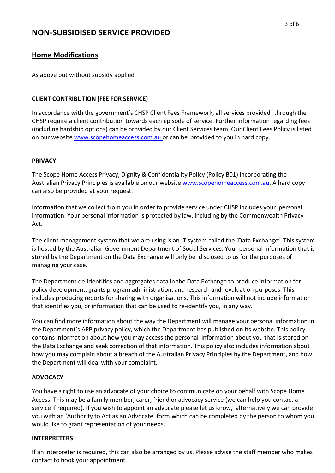# **NON-SUBSIDISED SERVICE PROVIDED**

## **Home Modifications**

As above but without subsidy applied

#### **CLIENT CONTRIBUTION (FEE FOR SERVICE)**

In accordance with the government's CHSP Client Fees Framework, all services provided through the CHSP require a client contribution towards each episode of service. Further information regarding fees (including hardship options) can be provided by our Client Services team. Our Client Fees Policy is listed on our website [www.scopehomeaccess.com.au o](http://www.scopehomeaccess.com.au/)r can be provided to you in hard copy.

#### **PRIVACY**

The Scope Home Access Privacy, Dignity & Confidentiality Policy (Policy B01) incorporating the Australian Privacy Principles is available on our website [www.scopehomeaccess.com.au.](http://www.scopehomeaccess.com.au/) A hard copy can also be provided at your request.

Information that we collect from you in order to provide service under CHSP includes your personal information. Your personal information is protected by law, including by the Commonwealth Privacy Act.

The client management system that we are using is an IT system called the 'Data Exchange'. This system is hosted by the Australian Government Department of Social Services. Your personal information that is stored by the Department on the Data Exchange will only be disclosed to us for the purposes of managing your case.

The Department de-identifies and aggregates data in the Data Exchange to produce information for policy development, grants program administration, and research and evaluation purposes. This includes producing reports for sharing with organisations. This information will not include information that identifies you, or information that can be used to re-identify you, in any way.

You can find more information about the way the Department will manage your personal information in the Department's APP privacy policy, which the Department has published on its website. This policy contains information about how you may access the personal information about you that is stored on the Data Exchange and seek correction of that information. This policy also includes information about how you may complain about a breach of the Australian Privacy Principles by the Department, and how the Department will deal with your complaint.

#### **ADVOCACY**

You have a right to use an advocate of your choice to communicate on your behalf with Scope Home Access. This may be a family member, carer, friend or advocacy service (we can help you contact a service if required). If you wish to appoint an advocate please let us know, alternatively we can provide you with an 'Authority to Act as an Advocate' form which can be completed by the person to whom you would like to grant representation of your needs.

#### **INTERPRETERS**

If an interpreter is required, this can also be arranged by us. Please advise the staff member who makes contact to book your appointment.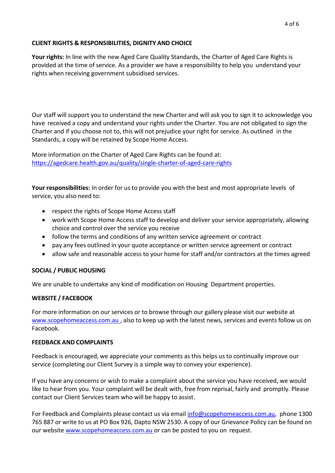#### **CLIENT RIGHTS & RESPONSIBILITIES, DIGNITY AND CHOICE**

**Your rights:** In line with the new Aged Care Quality Standards, the Charter of Aged Care Rights is provided at the time of service. As a provider we have a responsibility to help you understand your rights when receiving government subsidised services.

Our staff will support you to understand the new Charter and will ask you to sign it to acknowledge you have received a copy and understand your rights under the Charter. You are not obligated to sign the Charter and if you choose not to, this will not prejudice your right for service. As outlined in the Standards, a copy will be retained by Scope Home Access.

More information on the Charter of Aged Care Rights can be found at: <https://agedcare.health.gov.au/quality/single-charter-of-aged-care-rights>

**Your responsibilities:** In order for us to provide you with the best and most appropriate levels of service, you also need to:

- respect the rights of Scope Home Access staff
- work with Scope Home Access staff to develop and deliver your service appropriately, allowing choice and control over the service you receive
- follow the terms and conditions of any written service agreement or contract
- pay any fees outlined in your quote acceptance or written service agreement or contract
- allow safe and reasonable access to your home for staff and/or contractors at the times agreed

#### **SOCIAL / PUBLIC HOUSING**

We are unable to undertake any kind of modification on Housing Department properties.

#### **WEBSITE / FACEBOOK**

For more information on our services or to browse through our gallery please visit our website at [www.scopehomeaccess.com.au](http://www.scopehomeaccess.com.au/) , also to keep up with the latest news, services and events follow us on Facebook.

#### **FEEDBACK AND COMPLAINTS**

Feedback is encouraged, we appreciate your comments as this helps us to continually improve our service (completing our Client Survey is a simple way to convey your experience).

If you have any concerns or wish to make a complaint about the service you have received, we would like to hear from you. Your complaint will be dealt with, free from reprisal, fairly and promptly. Please contact our Client Services team who will be happy to assist.

For Feedback and Complaints please contact us via email [info@scopehomeaccess.com.au,](mailto:info@scopehomeaccess.com.au) phone 1300 765 887 or write to us at PO Box 926, Dapto NSW 2530. A copy of our Grievance Policy can be found on our website [www.scopehomeaccess.com.au](http://www.scopehomeaccess.com.au/) or can be posted to you on request.